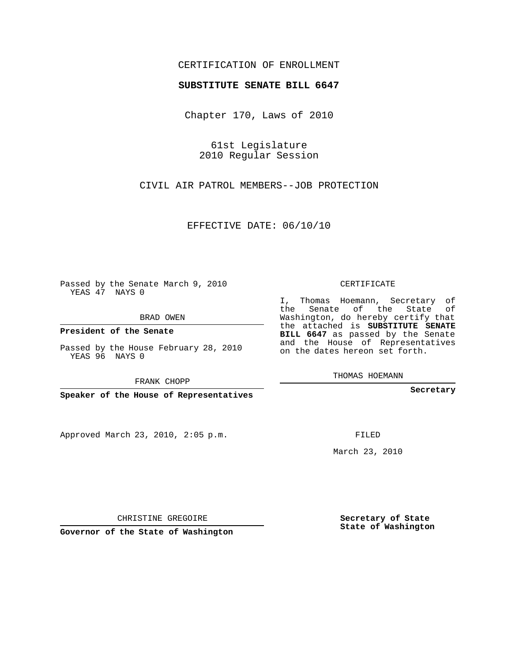## CERTIFICATION OF ENROLLMENT

## **SUBSTITUTE SENATE BILL 6647**

Chapter 170, Laws of 2010

61st Legislature 2010 Regular Session

CIVIL AIR PATROL MEMBERS--JOB PROTECTION

EFFECTIVE DATE: 06/10/10

Passed by the Senate March 9, 2010 YEAS 47 NAYS 0

BRAD OWEN

**President of the Senate**

Passed by the House February 28, 2010 YEAS 96 NAYS 0

FRANK CHOPP

**Speaker of the House of Representatives**

Approved March 23, 2010, 2:05 p.m.

CERTIFICATE

I, Thomas Hoemann, Secretary of the Senate of the State of Washington, do hereby certify that the attached is **SUBSTITUTE SENATE BILL 6647** as passed by the Senate and the House of Representatives on the dates hereon set forth.

THOMAS HOEMANN

**Secretary**

FILED

March 23, 2010

**Secretary of State State of Washington**

CHRISTINE GREGOIRE

**Governor of the State of Washington**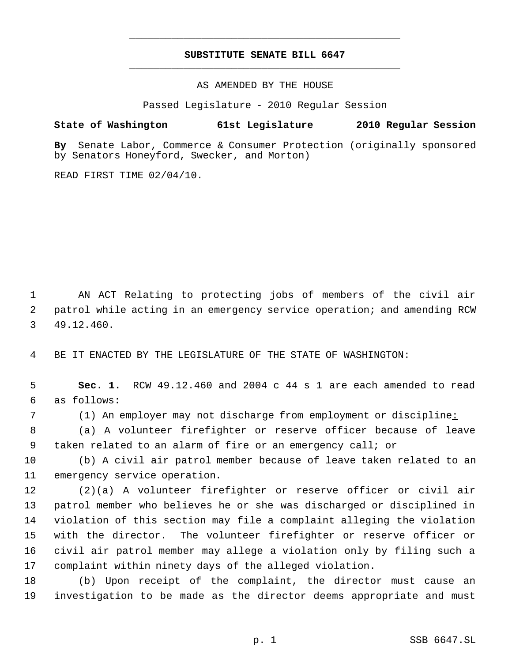## **SUBSTITUTE SENATE BILL 6647** \_\_\_\_\_\_\_\_\_\_\_\_\_\_\_\_\_\_\_\_\_\_\_\_\_\_\_\_\_\_\_\_\_\_\_\_\_\_\_\_\_\_\_\_\_

\_\_\_\_\_\_\_\_\_\_\_\_\_\_\_\_\_\_\_\_\_\_\_\_\_\_\_\_\_\_\_\_\_\_\_\_\_\_\_\_\_\_\_\_\_

AS AMENDED BY THE HOUSE

Passed Legislature - 2010 Regular Session

## **State of Washington 61st Legislature 2010 Regular Session**

**By** Senate Labor, Commerce & Consumer Protection (originally sponsored by Senators Honeyford, Swecker, and Morton)

READ FIRST TIME 02/04/10.

 1 AN ACT Relating to protecting jobs of members of the civil air 2 patrol while acting in an emergency service operation; and amending RCW 3 49.12.460.

4 BE IT ENACTED BY THE LEGISLATURE OF THE STATE OF WASHINGTON:

 5 **Sec. 1.** RCW 49.12.460 and 2004 c 44 s 1 are each amended to read 6 as follows:

7 (1) An employer may not discharge from employment or discipline:

8 (a) A volunteer firefighter or reserve officer because of leave 9 taken related to an alarm of fire or an emergency call; or

10 (b) A civil air patrol member because of leave taken related to an 11 emergency service operation.

12 (2)(a) A volunteer firefighter or reserve officer <u>or civil air</u> 13 patrol member who believes he or she was discharged or disciplined in 14 violation of this section may file a complaint alleging the violation 15 with the director. The volunteer firefighter or reserve officer <u>or</u> 16 civil air patrol member may allege a violation only by filing such a 17 complaint within ninety days of the alleged violation.

18 (b) Upon receipt of the complaint, the director must cause an 19 investigation to be made as the director deems appropriate and must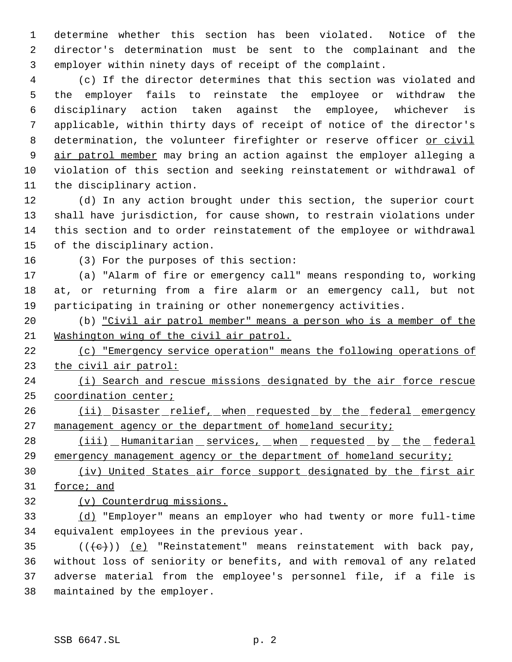determine whether this section has been violated. Notice of the director's determination must be sent to the complainant and the employer within ninety days of receipt of the complaint.

 (c) If the director determines that this section was violated and the employer fails to reinstate the employee or withdraw the disciplinary action taken against the employee, whichever is applicable, within thirty days of receipt of notice of the director's 8 determination, the volunteer firefighter or reserve officer or civil 9 air patrol member may bring an action against the employer alleging a violation of this section and seeking reinstatement or withdrawal of the disciplinary action.

 (d) In any action brought under this section, the superior court shall have jurisdiction, for cause shown, to restrain violations under this section and to order reinstatement of the employee or withdrawal of the disciplinary action.

(3) For the purposes of this section:

 (a) "Alarm of fire or emergency call" means responding to, working at, or returning from a fire alarm or an emergency call, but not participating in training or other nonemergency activities.

 (b) "Civil air patrol member" means a person who is a member of the Washington wing of the civil air patrol.

 (c) "Emergency service operation" means the following operations of the civil air patrol:

24 (i) Search and rescue missions designated by the air force rescue coordination center;

26 (ii) Disaster relief, when requested by the federal emergency 27 management agency or the department of homeland security;

28 (iii) Humanitarian services, when requested by the federal 29 emergency management agency or the department of homeland security;

 (iv) United States air force support designated by the first air force; and

(v) Counterdrug missions.

 (d) "Employer" means an employer who had twenty or more full-time equivalent employees in the previous year.

 $((\{e\}) \ (e)$  "Reinstatement" means reinstatement with back pay, without loss of seniority or benefits, and with removal of any related adverse material from the employee's personnel file, if a file is maintained by the employer.